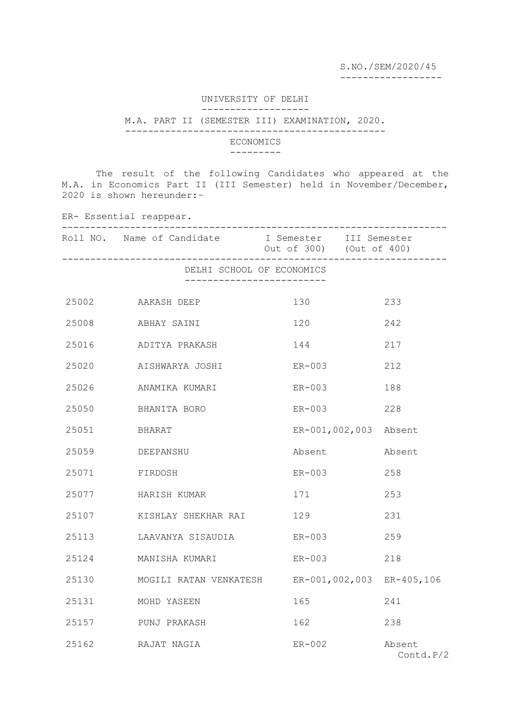S.NO./SEM/2020/45

------------------

## UNIVERSITY OF DELHI -------------------

## M.A. PART II (SEMESTER III) EXAMINATION, 2020.

----------------------------------------------

## ECONOMICS

## ---------

 The result of the following Candidates who appeared at the M.A. in Economics Part II (III Semester) held in November/December, 2020 is shown hereunder:–

ER- Essential reappear. -------------------------------------------------------------------- Roll NO. Name of Candidate I Semester III Semester Out of 300) (Out of 400) -------------------------------------------------------------------- DELHI SCHOOL OF ECONOMICS ------------------------- AAKASH DEEP 130 233 ABHAY SAINI 120 242 ADITYA PRAKASH 144 217 AISHWARYA JOSHI ER-003 212 ANAMIKA KUMARI ER-003 188 BHANITA BORO ER-003 228 BHARAT ER-001,002,003 Absent DEEPANSHU Absent Absent FIRDOSH ER-003 258 HARISH KUMAR 171 253 KISHLAY SHEKHAR RAI 129 231 LAAVANYA SISAUDIA ER-003 259 MANISHA KUMARI ER-003 218 MOGILI RATAN VENKATESH ER-001,002,003 ER-405,106 MOHD YASEEN 165 241 PUNJ PRAKASH 162 238 RAJAT NAGIA ER-002 Absent Contd.P/2